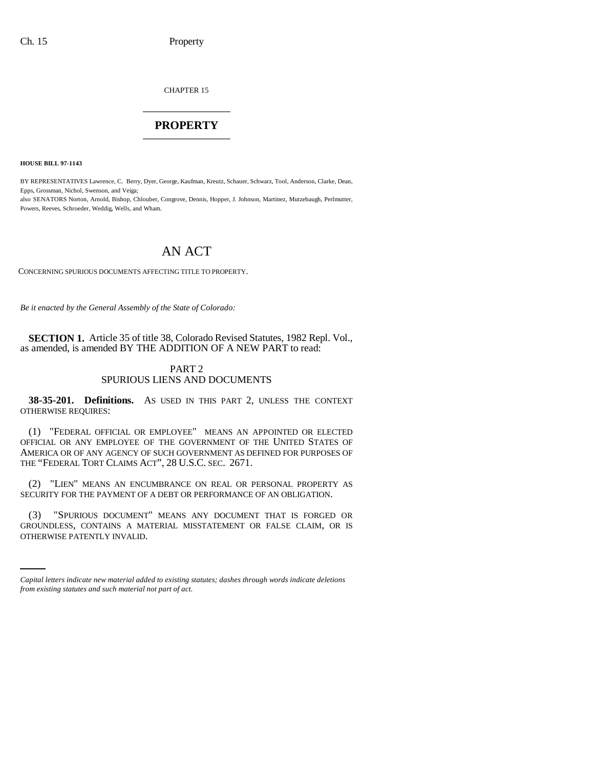CHAPTER 15 \_\_\_\_\_\_\_\_\_\_\_\_\_\_\_

## **PROPERTY** \_\_\_\_\_\_\_\_\_\_\_\_\_\_\_

**HOUSE BILL 97-1143**

BY REPRESENTATIVES Lawrence, C. Berry, Dyer, George, Kaufman, Kreutz, Schauer, Schwarz, Tool, Anderson, Clarke, Dean, Epps, Grossman, Nichol, Swenson, and Veiga; also SENATORS Norton, Arnold, Bishop, Chlouber, Congrove, Dennis, Hopper, J. Johnson, Martinez, Mutzebaugh, Perlmutter, Powers, Reeves, Schroeder, Weddig, Wells, and Wham.

# AN ACT

CONCERNING SPURIOUS DOCUMENTS AFFECTING TITLE TO PROPERTY.

*Be it enacted by the General Assembly of the State of Colorado:*

**SECTION 1.** Article 35 of title 38, Colorado Revised Statutes, 1982 Repl. Vol., as amended, is amended BY THE ADDITION OF A NEW PART to read:

### PART 2 SPURIOUS LIENS AND DOCUMENTS

**38-35-201. Definitions.** AS USED IN THIS PART 2, UNLESS THE CONTEXT OTHERWISE REQUIRES:

(1) "FEDERAL OFFICIAL OR EMPLOYEE" MEANS AN APPOINTED OR ELECTED OFFICIAL OR ANY EMPLOYEE OF THE GOVERNMENT OF THE UNITED STATES OF AMERICA OR OF ANY AGENCY OF SUCH GOVERNMENT AS DEFINED FOR PURPOSES OF THE "FEDERAL TORT CLAIMS ACT", 28 U.S.C. SEC. 2671.

(2) "LIEN" MEANS AN ENCUMBRANCE ON REAL OR PERSONAL PROPERTY AS SECURITY FOR THE PAYMENT OF A DEBT OR PERFORMANCE OF AN OBLIGATION.

(3) "SPURIOUS DOCUMENT" MEANS ANY DOCUMENT THAT IS FORGED OR<br>GROUNDLESS, CONTAINS A MATERIAL MISSTATEMENT OR FALSE CLAIM, OR IS (3) "SPURIOUS DOCUMENT" MEANS ANY DOCUMENT THAT IS FORGED OR OTHERWISE PATENTLY INVALID.

*Capital letters indicate new material added to existing statutes; dashes through words indicate deletions from existing statutes and such material not part of act.*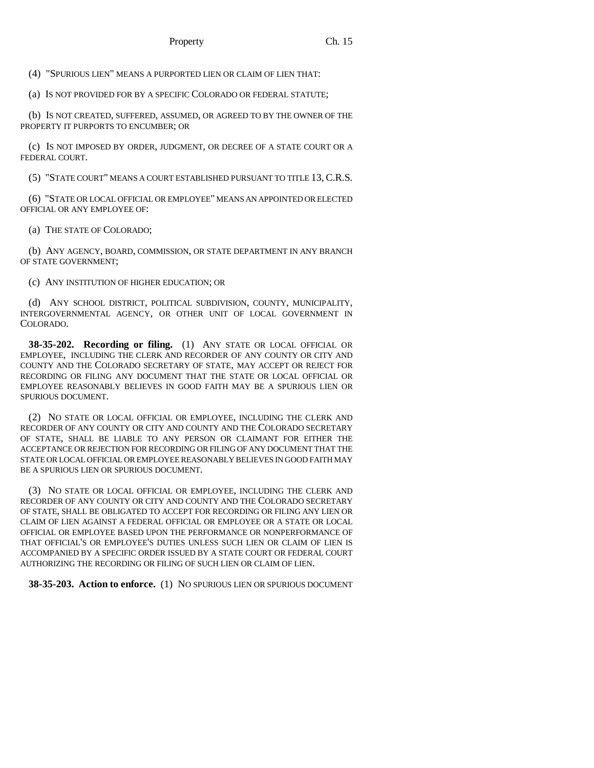(4) "SPURIOUS LIEN" MEANS A PURPORTED LIEN OR CLAIM OF LIEN THAT:

(a) IS NOT PROVIDED FOR BY A SPECIFIC COLORADO OR FEDERAL STATUTE;

(b) IS NOT CREATED, SUFFERED, ASSUMED, OR AGREED TO BY THE OWNER OF THE PROPERTY IT PURPORTS TO ENCUMBER; OR

(c) IS NOT IMPOSED BY ORDER, JUDGMENT, OR DECREE OF A STATE COURT OR A FEDERAL COURT.

(5) "STATE COURT" MEANS A COURT ESTABLISHED PURSUANT TO TITLE 13, C.R.S.

(6) "STATE OR LOCAL OFFICIAL OR EMPLOYEE" MEANS AN APPOINTED OR ELECTED OFFICIAL OR ANY EMPLOYEE OF:

(a) THE STATE OF COLORADO;

(b) ANY AGENCY, BOARD, COMMISSION, OR STATE DEPARTMENT IN ANY BRANCH OF STATE GOVERNMENT;

(c) ANY INSTITUTION OF HIGHER EDUCATION; OR

(d) ANY SCHOOL DISTRICT, POLITICAL SUBDIVISION, COUNTY, MUNICIPALITY, INTERGOVERNMENTAL AGENCY, OR OTHER UNIT OF LOCAL GOVERNMENT IN COLORADO.

**38-35-202. Recording or filing.** (1) ANY STATE OR LOCAL OFFICIAL OR EMPLOYEE, INCLUDING THE CLERK AND RECORDER OF ANY COUNTY OR CITY AND COUNTY AND THE COLORADO SECRETARY OF STATE, MAY ACCEPT OR REJECT FOR RECORDING OR FILING ANY DOCUMENT THAT THE STATE OR LOCAL OFFICIAL OR EMPLOYEE REASONABLY BELIEVES IN GOOD FAITH MAY BE A SPURIOUS LIEN OR SPURIOUS DOCUMENT.

(2) NO STATE OR LOCAL OFFICIAL OR EMPLOYEE, INCLUDING THE CLERK AND RECORDER OF ANY COUNTY OR CITY AND COUNTY AND THE COLORADO SECRETARY OF STATE, SHALL BE LIABLE TO ANY PERSON OR CLAIMANT FOR EITHER THE ACCEPTANCE OR REJECTION FOR RECORDING OR FILING OF ANY DOCUMENT THAT THE STATE OR LOCAL OFFICIAL OR EMPLOYEE REASONABLY BELIEVES IN GOOD FAITH MAY BE A SPURIOUS LIEN OR SPURIOUS DOCUMENT.

(3) NO STATE OR LOCAL OFFICIAL OR EMPLOYEE, INCLUDING THE CLERK AND RECORDER OF ANY COUNTY OR CITY AND COUNTY AND THE COLORADO SECRETARY OF STATE, SHALL BE OBLIGATED TO ACCEPT FOR RECORDING OR FILING ANY LIEN OR CLAIM OF LIEN AGAINST A FEDERAL OFFICIAL OR EMPLOYEE OR A STATE OR LOCAL OFFICIAL OR EMPLOYEE BASED UPON THE PERFORMANCE OR NONPERFORMANCE OF THAT OFFICIAL'S OR EMPLOYEE'S DUTIES UNLESS SUCH LIEN OR CLAIM OF LIEN IS ACCOMPANIED BY A SPECIFIC ORDER ISSUED BY A STATE COURT OR FEDERAL COURT AUTHORIZING THE RECORDING OR FILING OF SUCH LIEN OR CLAIM OF LIEN.

**38-35-203. Action to enforce.** (1) NO SPURIOUS LIEN OR SPURIOUS DOCUMENT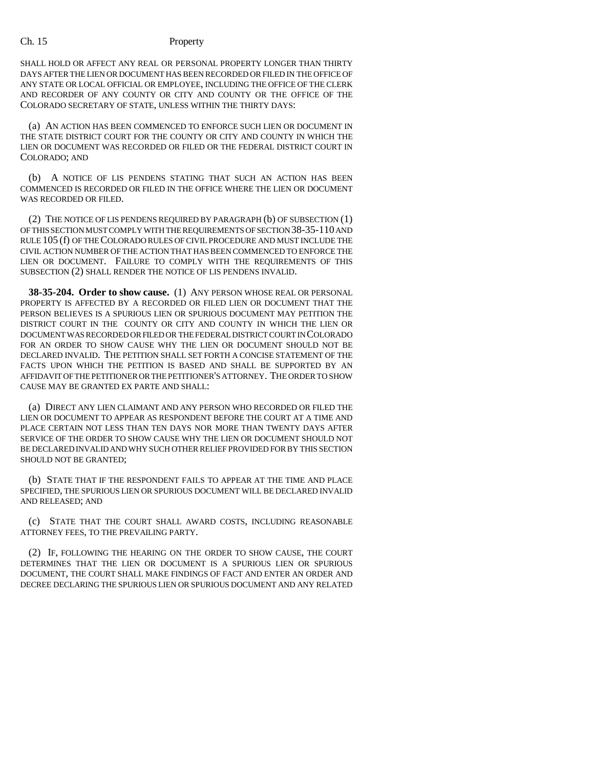### Ch. 15 Property

SHALL HOLD OR AFFECT ANY REAL OR PERSONAL PROPERTY LONGER THAN THIRTY DAYS AFTER THE LIEN OR DOCUMENT HAS BEEN RECORDED OR FILED IN THE OFFICE OF ANY STATE OR LOCAL OFFICIAL OR EMPLOYEE, INCLUDING THE OFFICE OF THE CLERK AND RECORDER OF ANY COUNTY OR CITY AND COUNTY OR THE OFFICE OF THE COLORADO SECRETARY OF STATE, UNLESS WITHIN THE THIRTY DAYS:

(a) AN ACTION HAS BEEN COMMENCED TO ENFORCE SUCH LIEN OR DOCUMENT IN THE STATE DISTRICT COURT FOR THE COUNTY OR CITY AND COUNTY IN WHICH THE LIEN OR DOCUMENT WAS RECORDED OR FILED OR THE FEDERAL DISTRICT COURT IN COLORADO; AND

(b) A NOTICE OF LIS PENDENS STATING THAT SUCH AN ACTION HAS BEEN COMMENCED IS RECORDED OR FILED IN THE OFFICE WHERE THE LIEN OR DOCUMENT WAS RECORDED OR FILED.

(2) THE NOTICE OF LIS PENDENS REQUIRED BY PARAGRAPH (b) OF SUBSECTION (1) OF THIS SECTION MUST COMPLY WITH THE REQUIREMENTS OF SECTION 38-35-110 AND RULE 105 (f) OF THE COLORADO RULES OF CIVIL PROCEDURE AND MUST INCLUDE THE CIVIL ACTION NUMBER OF THE ACTION THAT HAS BEEN COMMENCED TO ENFORCE THE LIEN OR DOCUMENT. FAILURE TO COMPLY WITH THE REQUIREMENTS OF THIS SUBSECTION (2) SHALL RENDER THE NOTICE OF LIS PENDENS INVALID.

**38-35-204. Order to show cause.** (1) ANY PERSON WHOSE REAL OR PERSONAL PROPERTY IS AFFECTED BY A RECORDED OR FILED LIEN OR DOCUMENT THAT THE PERSON BELIEVES IS A SPURIOUS LIEN OR SPURIOUS DOCUMENT MAY PETITION THE DISTRICT COURT IN THE COUNTY OR CITY AND COUNTY IN WHICH THE LIEN OR DOCUMENT WAS RECORDED OR FILED OR THE FEDERAL DISTRICT COURT IN COLORADO FOR AN ORDER TO SHOW CAUSE WHY THE LIEN OR DOCUMENT SHOULD NOT BE DECLARED INVALID. THE PETITION SHALL SET FORTH A CONCISE STATEMENT OF THE FACTS UPON WHICH THE PETITION IS BASED AND SHALL BE SUPPORTED BY AN AFFIDAVIT OF THE PETITIONER OR THE PETITIONER'S ATTORNEY. THE ORDER TO SHOW CAUSE MAY BE GRANTED EX PARTE AND SHALL:

(a) DIRECT ANY LIEN CLAIMANT AND ANY PERSON WHO RECORDED OR FILED THE LIEN OR DOCUMENT TO APPEAR AS RESPONDENT BEFORE THE COURT AT A TIME AND PLACE CERTAIN NOT LESS THAN TEN DAYS NOR MORE THAN TWENTY DAYS AFTER SERVICE OF THE ORDER TO SHOW CAUSE WHY THE LIEN OR DOCUMENT SHOULD NOT BE DECLARED INVALID AND WHY SUCH OTHER RELIEF PROVIDED FOR BY THIS SECTION SHOULD NOT BE GRANTED;

(b) STATE THAT IF THE RESPONDENT FAILS TO APPEAR AT THE TIME AND PLACE SPECIFIED, THE SPURIOUS LIEN OR SPURIOUS DOCUMENT WILL BE DECLARED INVALID AND RELEASED; AND

(c) STATE THAT THE COURT SHALL AWARD COSTS, INCLUDING REASONABLE ATTORNEY FEES, TO THE PREVAILING PARTY.

(2) IF, FOLLOWING THE HEARING ON THE ORDER TO SHOW CAUSE, THE COURT DETERMINES THAT THE LIEN OR DOCUMENT IS A SPURIOUS LIEN OR SPURIOUS DOCUMENT, THE COURT SHALL MAKE FINDINGS OF FACT AND ENTER AN ORDER AND DECREE DECLARING THE SPURIOUS LIEN OR SPURIOUS DOCUMENT AND ANY RELATED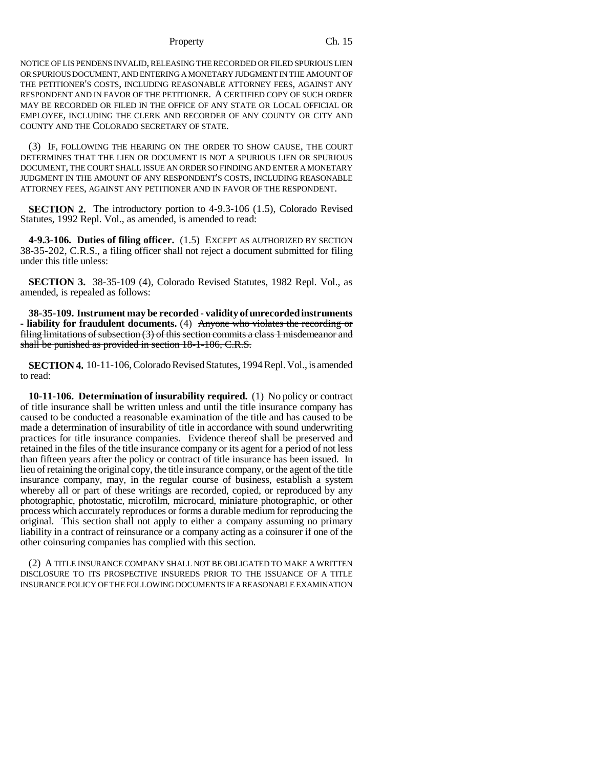### Property Ch. 15

NOTICE OF LIS PENDENS INVALID, RELEASING THE RECORDED OR FILED SPURIOUS LIEN OR SPURIOUS DOCUMENT, AND ENTERING A MONETARY JUDGMENT IN THE AMOUNT OF THE PETITIONER'S COSTS, INCLUDING REASONABLE ATTORNEY FEES, AGAINST ANY RESPONDENT AND IN FAVOR OF THE PETITIONER. A CERTIFIED COPY OF SUCH ORDER MAY BE RECORDED OR FILED IN THE OFFICE OF ANY STATE OR LOCAL OFFICIAL OR EMPLOYEE, INCLUDING THE CLERK AND RECORDER OF ANY COUNTY OR CITY AND COUNTY AND THE COLORADO SECRETARY OF STATE.

(3) IF, FOLLOWING THE HEARING ON THE ORDER TO SHOW CAUSE, THE COURT DETERMINES THAT THE LIEN OR DOCUMENT IS NOT A SPURIOUS LIEN OR SPURIOUS DOCUMENT, THE COURT SHALL ISSUE AN ORDER SO FINDING AND ENTER A MONETARY JUDGMENT IN THE AMOUNT OF ANY RESPONDENT'S COSTS, INCLUDING REASONABLE ATTORNEY FEES, AGAINST ANY PETITIONER AND IN FAVOR OF THE RESPONDENT.

**SECTION 2.** The introductory portion to 4-9.3-106 (1.5), Colorado Revised Statutes, 1992 Repl. Vol., as amended, is amended to read:

**4-9.3-106. Duties of filing officer.** (1.5) EXCEPT AS AUTHORIZED BY SECTION 38-35-202, C.R.S., a filing officer shall not reject a document submitted for filing under this title unless:

**SECTION 3.** 38-35-109 (4), Colorado Revised Statutes, 1982 Repl. Vol., as amended, is repealed as follows:

**38-35-109. Instrument may be recorded - validity of unrecorded instruments - liability for fraudulent documents.** (4) Anyone who violates the recording or filing limitations of subsection (3) of this section commits a class 1 misdemeanor and shall be punished as provided in section 18-1-106, C.R.S.

**SECTION 4.** 10-11-106, Colorado Revised Statutes, 1994 Repl. Vol., is amended to read:

**10-11-106. Determination of insurability required.** (1) No policy or contract of title insurance shall be written unless and until the title insurance company has caused to be conducted a reasonable examination of the title and has caused to be made a determination of insurability of title in accordance with sound underwriting practices for title insurance companies. Evidence thereof shall be preserved and retained in the files of the title insurance company or its agent for a period of not less than fifteen years after the policy or contract of title insurance has been issued. In lieu of retaining the original copy, the title insurance company, or the agent of the title insurance company, may, in the regular course of business, establish a system whereby all or part of these writings are recorded, copied, or reproduced by any photographic, photostatic, microfilm, microcard, miniature photographic, or other process which accurately reproduces or forms a durable medium for reproducing the original. This section shall not apply to either a company assuming no primary liability in a contract of reinsurance or a company acting as a coinsurer if one of the other coinsuring companies has complied with this section.

(2) A TITLE INSURANCE COMPANY SHALL NOT BE OBLIGATED TO MAKE A WRITTEN DISCLOSURE TO ITS PROSPECTIVE INSUREDS PRIOR TO THE ISSUANCE OF A TITLE INSURANCE POLICY OF THE FOLLOWING DOCUMENTS IF A REASONABLE EXAMINATION